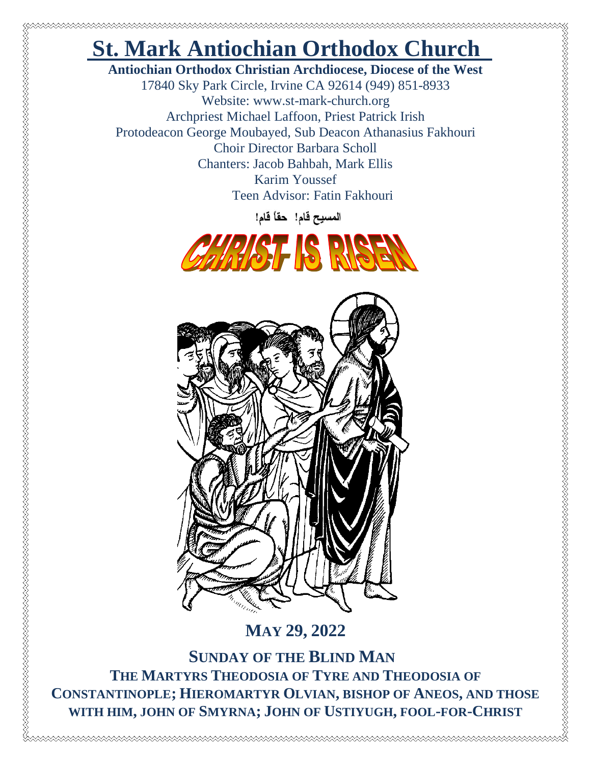# **St. Mark Antiochian Orthodox Church**

**Antiochian Orthodox Christian Archdiocese, Diocese of the West**

17840 Sky Park Circle, Irvine CA 92614 (949) 851-8933 Website: www.st-mark-church.org Archpriest Michael Laffoon, Priest Patrick Irish Protodeacon George Moubayed, Sub Deacon Athanasius Fakhouri Choir Director Barbara Scholl Chanters: Jacob Bahbah, Mark Ellis Karim Youssef Teen Advisor: Fatin Fakhouri

المسيح قام! حقاً قام!





**MAY 29, 2022**

**SUNDAY OF THE BLIND MAN THE MARTYRS THEODOSIA OF TYRE AND THEODOSIA OF CONSTANTINOPLE; HIEROMARTYR OLVIAN, BISHOP OF ANEOS, AND THOSE WITH HIM, JOHN OF SMYRNA; JOHN OF USTIYUGH, FOOL-FOR-CHRIST**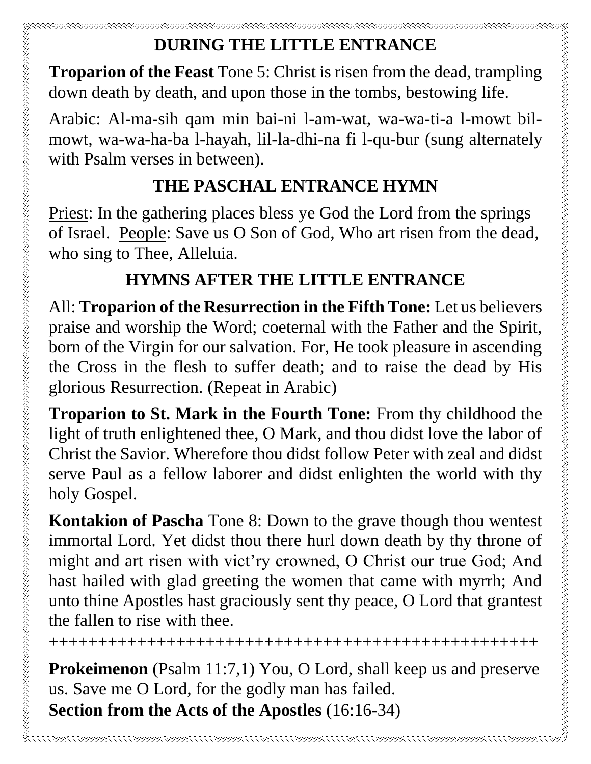# **DURING THE LITTLE ENTRANCE**

**Troparion of the Feast** Tone 5: Christ is risen from the dead, trampling down death by death, and upon those in the tombs, bestowing life.

Arabic: Al-ma-sih qam min bai-ni l-am-wat, wa-wa-ti-a l-mowt bilmowt, wa-wa-ha-ba l-hayah, lil-la-dhi-na fi l-qu-bur (sung alternately with Psalm verses in between).

# **THE PASCHAL ENTRANCE HYMN**

Priest: In the gathering places bless ye God the Lord from the springs of Israel. People: Save us O Son of God, Who art risen from the dead, who sing to Thee, Alleluia.

# **HYMNS AFTER THE LITTLE ENTRANCE**

All: **Troparion of the Resurrection in the Fifth Tone:** Let us believers praise and worship the Word; coeternal with the Father and the Spirit, born of the Virgin for our salvation. For, He took pleasure in ascending the Cross in the flesh to suffer death; and to raise the dead by His glorious Resurrection. (Repeat in Arabic)

**Troparion to St. Mark in the Fourth Tone:** From thy childhood the light of truth enlightened thee, O Mark, and thou didst love the labor of Christ the Savior. Wherefore thou didst follow Peter with zeal and didst serve Paul as a fellow laborer and didst enlighten the world with thy holy Gospel.

**Kontakion of Pascha** Tone 8: Down to the grave though thou wentest immortal Lord. Yet didst thou there hurl down death by thy throne of might and art risen with vict'ry crowned, O Christ our true God; And hast hailed with glad greeting the women that came with myrrh; And unto thine Apostles hast graciously sent thy peace, O Lord that grantest the fallen to rise with thee.

++++++++++++++++++++++++++++++++++++++++++++++++++

**Prokeimenon** (Psalm 11:7,1) You, O Lord, shall keep us and preserve us. Save me O Lord, for the godly man has failed.

**Section from the Acts of the Apostles** (16:16-34)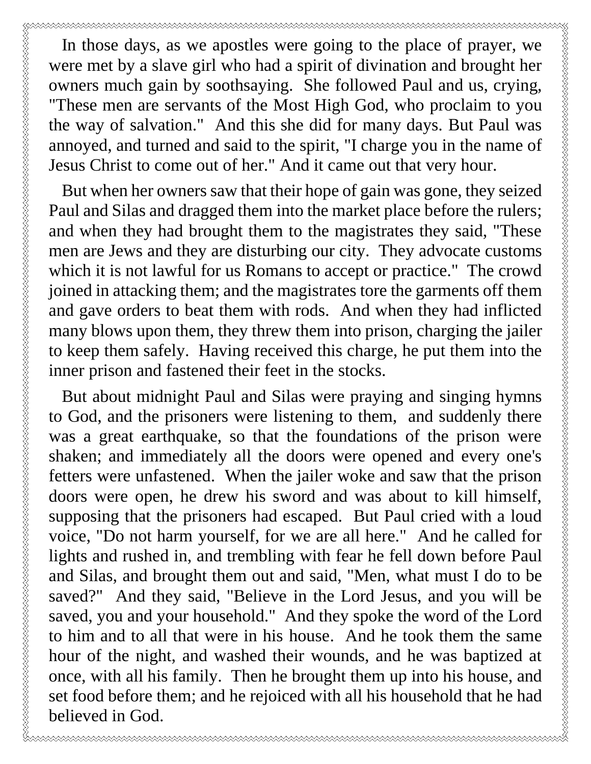In those days, as we apostles were going to the place of prayer, we were met by a slave girl who had a spirit of divination and brought her owners much gain by soothsaying. She followed Paul and us, crying, "These men are servants of the Most High God, who proclaim to you the way of salvation." And this she did for many days. But Paul was annoyed, and turned and said to the spirit, "I charge you in the name of Jesus Christ to come out of her." And it came out that very hour.

 But when her owners saw that their hope of gain was gone, they seized Paul and Silas and dragged them into the market place before the rulers; and when they had brought them to the magistrates they said, "These men are Jews and they are disturbing our city. They advocate customs which it is not lawful for us Romans to accept or practice." The crowd joined in attacking them; and the magistrates tore the garments off them and gave orders to beat them with rods. And when they had inflicted many blows upon them, they threw them into prison, charging the jailer to keep them safely. Having received this charge, he put them into the inner prison and fastened their feet in the stocks.

 But about midnight Paul and Silas were praying and singing hymns to God, and the prisoners were listening to them, and suddenly there was a great earthquake, so that the foundations of the prison were shaken; and immediately all the doors were opened and every one's fetters were unfastened. When the jailer woke and saw that the prison doors were open, he drew his sword and was about to kill himself, supposing that the prisoners had escaped. But Paul cried with a loud voice, "Do not harm yourself, for we are all here." And he called for lights and rushed in, and trembling with fear he fell down before Paul and Silas, and brought them out and said, "Men, what must I do to be saved?" And they said, "Believe in the Lord Jesus, and you will be saved, you and your household." And they spoke the word of the Lord to him and to all that were in his house. And he took them the same hour of the night, and washed their wounds, and he was baptized at once, with all his family. Then he brought them up into his house, and set food before them; and he rejoiced with all his household that he had believed in God.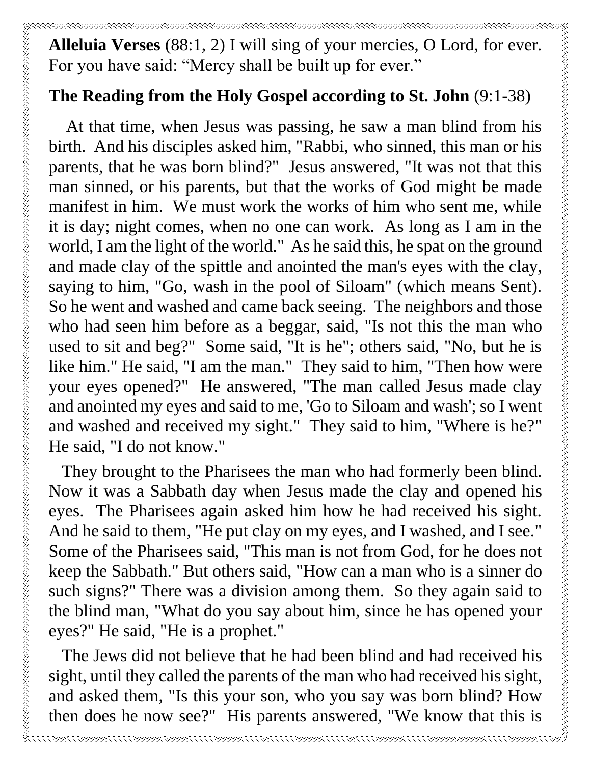**Alleluia Verses** (88:1, 2) I will sing of your mercies, O Lord, for ever. For you have said: "Mercy shall be built up for ever."

#### **The Reading from the Holy Gospel according to St. John** (9:1-38)

 At that time, when Jesus was passing, he saw a man blind from his birth. And his disciples asked him, "Rabbi, who sinned, this man or his parents, that he was born blind?" Jesus answered, "It was not that this man sinned, or his parents, but that the works of God might be made manifest in him. We must work the works of him who sent me, while it is day; night comes, when no one can work. As long as I am in the world, I am the light of the world." As he said this, he spat on the ground and made clay of the spittle and anointed the man's eyes with the clay, saying to him, "Go, wash in the pool of Siloam" (which means Sent). So he went and washed and came back seeing. The neighbors and those who had seen him before as a beggar, said, "Is not this the man who used to sit and beg?" Some said, "It is he"; others said, "No, but he is like him." He said, "I am the man." They said to him, "Then how were your eyes opened?" He answered, "The man called Jesus made clay and anointed my eyes and said to me, 'Go to Siloam and wash'; so I went and washed and received my sight." They said to him, "Where is he?" He said, "I do not know."

 They brought to the Pharisees the man who had formerly been blind. Now it was a Sabbath day when Jesus made the clay and opened his eyes. The Pharisees again asked him how he had received his sight. And he said to them, "He put clay on my eyes, and I washed, and I see." Some of the Pharisees said, "This man is not from God, for he does not keep the Sabbath." But others said, "How can a man who is a sinner do such signs?" There was a division among them. So they again said to the blind man, "What do you say about him, since he has opened your eyes?" He said, "He is a prophet."

 The Jews did not believe that he had been blind and had received his sight, until they called the parents of the man who had received his sight, and asked them, "Is this your son, who you say was born blind? How then does he now see?" His parents answered, "We know that this is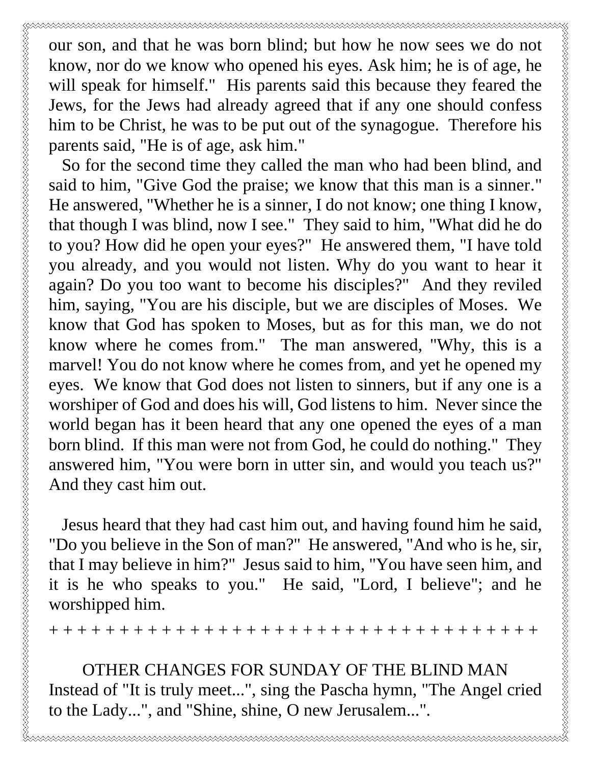our son, and that he was born blind; but how he now sees we do not know, nor do we know who opened his eyes. Ask him; he is of age, he will speak for himself." His parents said this because they feared the Jews, for the Jews had already agreed that if any one should confess him to be Christ, he was to be put out of the synagogue. Therefore his parents said, "He is of age, ask him."

 So for the second time they called the man who had been blind, and said to him, "Give God the praise; we know that this man is a sinner." He answered, "Whether he is a sinner, I do not know; one thing I know, that though I was blind, now I see." They said to him, "What did he do to you? How did he open your eyes?" He answered them, "I have told you already, and you would not listen. Why do you want to hear it again? Do you too want to become his disciples?" And they reviled him, saying, "You are his disciple, but we are disciples of Moses. We know that God has spoken to Moses, but as for this man, we do not know where he comes from." The man answered, "Why, this is a marvel! You do not know where he comes from, and yet he opened my eyes. We know that God does not listen to sinners, but if any one is a worshiper of God and does his will, God listens to him. Never since the world began has it been heard that any one opened the eyes of a man born blind. If this man were not from God, he could do nothing." They answered him, "You were born in utter sin, and would you teach us?" And they cast him out.

 Jesus heard that they had cast him out, and having found him he said, "Do you believe in the Son of man?" He answered, "And who is he, sir, that I may believe in him?" Jesus said to him, "You have seen him, and it is he who speaks to you." He said, "Lord, I believe"; and he worshipped him.

+ + + + + + + + + + + + + + + + + + + + + + + + + + + + + + + + + + +

OTHER CHANGES FOR SUNDAY OF THE BLIND MAN Instead of "It is truly meet...", sing the Pascha hymn, "The Angel cried to the Lady...", and "Shine, shine, O new Jerusalem..."*.*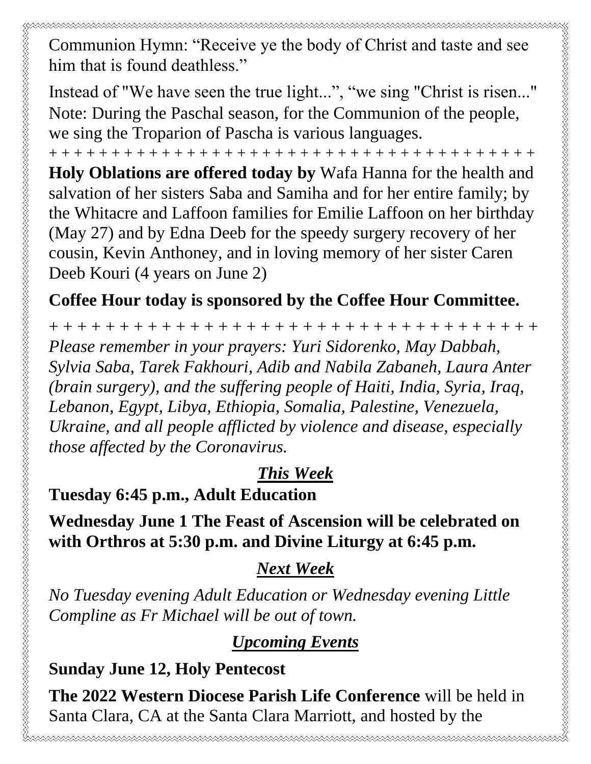Communion Hymn: "Receive ye the body of Christ and taste and see him that is found deathless."

Instead of "We have seen the true light...", "we sing "Christ is risen..." Note: During the Paschal season, for the Communion of the people, we sing the Troparion of Pascha is various languages.

+ + + + + + + + + + + + + + + + + + + + + + + + + + + + + + + + + + + + + + + **Holy Oblations are offered today by** Wafa Hanna for the health and salvation of her sisters Saba and Samiha and for her entire family; by the Whitacre and Laffoon families for Emilie Laffoon on her birthday (May 27) and by Edna Deeb for the speedy surgery recovery of her cousin, Kevin Anthoney, and in loving memory of her sister Caren Deeb Kouri (4 years on June 2)

# **Coffee Hour today is sponsored by the Coffee Hour Committee.**

+ + + + + + + + + + + + + + + + + + + + + + + + + + + + + + + + + + + *Please remember in your prayers: Yuri Sidorenko, May Dabbah, Sylvia Saba, Tarek Fakhouri, Adib and Nabila Zabaneh, Laura Anter (brain surgery), and the suffering people of Haiti, India, Syria, Iraq, Lebanon, Egypt, Libya, Ethiopia, Somalia, Palestine, Venezuela, Ukraine, and all people afflicted by violence and disease, especially those affected by the Coronavirus.*

#### *This Week*

## **Tuesday 6:45 p.m., Adult Education**

**Wednesday June 1 The Feast of Ascension will be celebrated on with Orthros at 5:30 p.m. and Divine Liturgy at 6:45 p.m.**

#### *Next Week*

*No Tuesday evening Adult Education or Wednesday evening Little Compline as Fr Michael will be out of town.*

## *Upcoming Events*

#### **Sunday June 12, Holy Pentecost**

**The 2022 Western Diocese Parish Life Conference** will be held in Santa Clara, CA at the Santa Clara Marriott, and hosted by the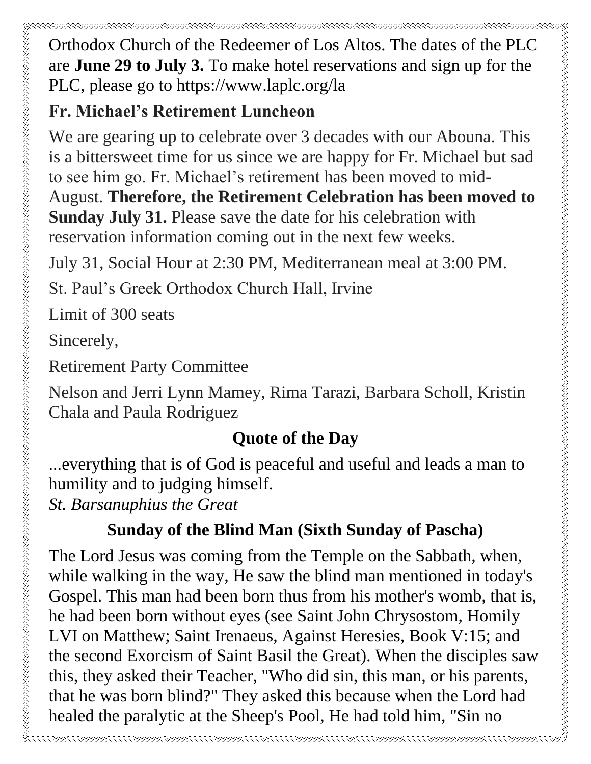# **Fr. Michael's Retirement Luncheon**

We are gearing up to celebrate over 3 decades with our Abouna. This is a bittersweet time for us since we are happy for Fr. Michael but sad to see him go. Fr. Michael's retirement has been moved to mid-August. **Therefore, the Retirement Celebration has been moved to Sunday July 31.** Please save the date for his celebration with reservation information coming out in the next few weeks.

July 31, Social Hour at 2:30 PM, Mediterranean meal at 3:00 PM.

St. Paul's Greek Orthodox Church Hall, Irvine

Limit of 300 seats

Sincerely,

Retirement Party Committee

Nelson and Jerri Lynn Mamey, Rima Tarazi, Barbara Scholl, Kristin Chala and Paula Rodriguez

FRA FRANDER FRA FRANDER FRANDER FRANDER FRANDER FRANDER FRANDER FRANDER FRANDER FRANDER FRANDER FRANDER FRANDER

#### **Quote of the Day**

...everything that is of God is peaceful and useful and leads a man to humility and to judging himself.

*St. Barsanuphius the Great*

# **Sunday of the Blind Man (Sixth Sunday of Pascha)**

The Lord Jesus was coming from the Temple on the Sabbath, when, while walking in the way, He saw the blind man mentioned in today's Gospel. This man had been born thus from his mother's womb, that is, he had been born without eyes (see Saint John Chrysostom, Homily LVI on Matthew; Saint Irenaeus, Against Heresies, Book V:15; and the second Exorcism of Saint Basil the Great). When the disciples saw this, they asked their Teacher, "Who did sin, this man, or his parents, that he was born blind?" They asked this because when the Lord had healed the paralytic at the Sheep's Pool, He had told him, "Sin no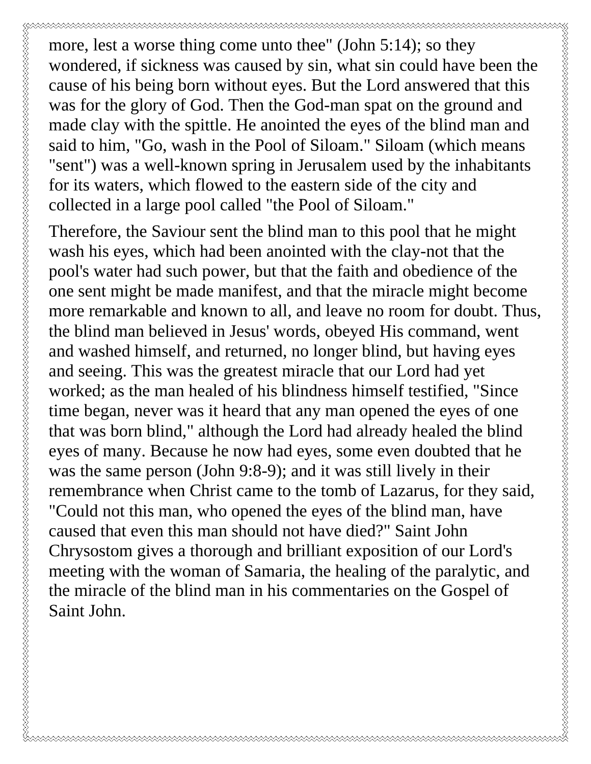more, lest a worse thing come unto thee" (John 5:14); so they wondered, if sickness was caused by sin, what sin could have been the cause of his being born without eyes. But the Lord answered that this was for the glory of God. Then the God-man spat on the ground and made clay with the spittle. He anointed the eyes of the blind man and said to him, "Go, wash in the Pool of Siloam." Siloam (which means "sent") was a well-known spring in Jerusalem used by the inhabitants for its waters, which flowed to the eastern side of the city and collected in a large pool called "the Pool of Siloam."

Therefore, the Saviour sent the blind man to this pool that he might wash his eyes, which had been anointed with the clay-not that the pool's water had such power, but that the faith and obedience of the one sent might be made manifest, and that the miracle might become more remarkable and known to all, and leave no room for doubt. Thus, the blind man believed in Jesus' words, obeyed His command, went and washed himself, and returned, no longer blind, but having eyes and seeing. This was the greatest miracle that our Lord had yet worked; as the man healed of his blindness himself testified, "Since time began, never was it heard that any man opened the eyes of one that was born blind," although the Lord had already healed the blind eyes of many. Because he now had eyes, some even doubted that he was the same person (John 9:8-9); and it was still lively in their remembrance when Christ came to the tomb of Lazarus, for they said, "Could not this man, who opened the eyes of the blind man, have caused that even this man should not have died?" Saint John Chrysostom gives a thorough and brilliant exposition of our Lord's meeting with the woman of Samaria, the healing of the paralytic, and the miracle of the blind man in his commentaries on the Gospel of Saint John.

u waxaa dadaa dadaa waxaa dada waxay iyo waxay iyo waxaa waxaa waxaa waxaa waxaa waxaa waxaa waxaa waxaa waxaa